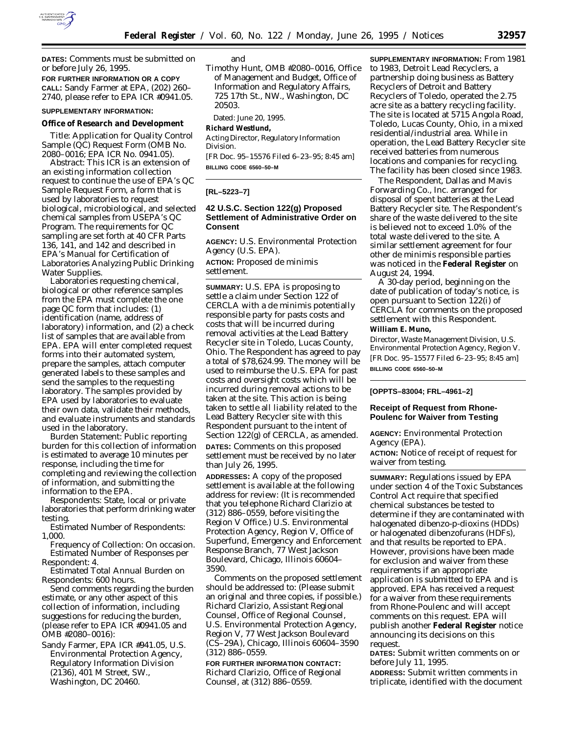

**DATES:** Comments must be submitted on or before July 26, 1995.

**FOR FURTHER INFORMATION OR A COPY CALL:** Sandy Farmer at EPA, (202) 260– 2740, please refer to EPA ICR #0941.05.

#### **SUPPLEMENTARY INFORMATION:**

### **Office of Research and Development**

*Title:* Application for Quality Control Sample (QC) Request Form (OMB No. 2080–0016; EPA ICR No. 0941.05).

*Abstract:* This ICR is an extension of an existing information collection request to continue the use of EPA's QC Sample Request Form, a form that is used by laboratories to request biological, microbiological, and selected chemical samples from USEPA's QC Program. The requirements for QC sampling are set forth at 40 CFR Parts 136, 141, and 142 and described in EPA's *Manual for Certification of Laboratories Analyzing Public Drinking Water Supplies.*

Laboratories requesting chemical, biological or other reference samples from the EPA must complete the one page QC form that includes: (1) identification (name, address of laboratory) information, and (2) a check list of samples that are available from EPA. EPA will enter completed request forms into their automated system, prepare the samples, attach computer generated labels to these samples and send the samples to the requesting laboratory. The samples provided by EPA used by laboratories to evaluate their own data, validate their methods, and evaluate instruments and standards used in the laboratory.

*Burden Statement:* Public reporting burden for this collection of information is estimated to average 10 minutes per response, including the time for completing and reviewing the collection of information, and submitting the information to the EPA.

*Respondents:* State, local or private laboratories that perform drinking water testing.

*Estimated Number of Respondents:* 1,000.

*Frequency of Collection:* On occasion. *Estimated Number of Responses per Respondent:* 4.

*Estimated Total Annual Burden on Respondents:* 600 hours.

Send comments regarding the burden estimate, or any other aspect of this collection of information, including suggestions for reducing the burden, (please refer to EPA ICR #0941.05 and OMB #2080–0016):

Sandy Farmer, EPA ICR #941.05, U.S. Environmental Protection Agency, Regulatory Information Division (2136), 401 M Street, SW., Washington, DC 20460.

and

Timothy Hunt, OMB #2080–0016, Office of Management and Budget, Office of Information and Regulatory Affairs, 725 17th St., NW., Washington, DC 20503.

Dated: June 20, 1995.

# **Richard Westlund,**

*Acting Director, Regulatory Information Division.*

[FR Doc. 95–15576 Filed 6–23–95; 8:45 am] **BILLING CODE 6560–50–M**

#### **[RL–5223–7]**

# **42 U.S.C. Section 122(g) Proposed Settlement of Administrative Order on Consent**

**AGENCY:** U.S. Environmental Protection Agency (U.S. EPA).

**ACTION:** Proposed *de minimis* settlement.

**SUMMARY:** U.S. EPA is proposing to settle a claim under Section 122 of CERCLA with a *de minimis* potentially responsible party for pasts costs and costs that will be incurred during removal activities at the Lead Battery Recycler site in Toledo, Lucas County, Ohio. The Respondent has agreed to pay a total of \$78,624.99. The money will be used to reimburse the U.S. EPA for past costs and oversight costs which will be incurred during removal actions to be taken at the site. This action is being taken to settle all liability related to the Lead Battery Recycler site with this Respondent pursuant to the intent of Section 122(g) of CERCLA, as amended. **DATES:** Comments on this proposed settlement must be received by no later than July 26, 1995.

**ADDRESSES:** A copy of the proposed settlement is available at the following address for review: (It is recommended that you telephone Richard Clarizio at (312) 886–0559, before visiting the Region V Office.) U.S. Environmental Protection Agency, Region V, Office of Superfund, Emergency and Enforcement Response Branch, 77 West Jackson Boulevard, Chicago, Illinois 60604– 3590.

Comments on the proposed settlement should be addressed to: (Please submit an original and three copies, if possible.) Richard Clarizio, Assistant Regional Counsel, Office of Regional Counsel, U.S. Environmental Protection Agency, Region V, 77 West Jackson Boulevard (CS–29A), Chicago, Illinois 60604–3590 (312) 886–0559.

**FOR FURTHER INFORMATION CONTACT:** Richard Clarizio, Office of Regional Counsel, at (312) 886–0559.

**SUPPLEMENTARY INFORMATION:** From 1981 to 1983, Detroit Lead Recyclers, a partnership doing business as Battery Recyclers of Detroit and Battery Recyclers of Toledo, operated the 2.75 acre site as a battery recycling facility. The site is located at 5715 Angola Road, Toledo, Lucas County, Ohio, in a mixed residential/industrial area. While in operation, the Lead Battery Recycler site received batteries from numerous locations and companies for recycling. The facility has been closed since 1983.

The Respondent, Dallas and Mavis Forwarding Co., Inc. arranged for disposal of spent batteries at the Lead Battery Recycler site. The Respondent's share of the waste delivered to the site is believed not to exceed 1.0% of the total waste delivered to the site. A similar settlement agreement for four other de minimis responsible parties was noticed in the **Federal Register** on August 24, 1994.

A 30-day period, beginning on the date of publication of today's notice, is open pursuant to Section 122(i) of CERCLA for comments on the proposed settlement with this Respondent.

## **William E. Muno,**

*Director, Waste Management Division, U.S. Environmental Protection Agency, Region V.* [FR Doc. 95–15577 Filed 6–23–95; 8:45 am] **BILLING CODE 6560–50–M**

### **[OPPTS–83004; FRL–4961–2]**

### **Receipt of Request from Rhone-Poulenc for Waiver from Testing**

**AGENCY:** Environmental Protection Agency (EPA).

**ACTION:** Notice of receipt of request for waiver from testing.

**SUMMARY:** Regulations issued by EPA under section 4 of the Toxic Substances Control Act require that specified chemical substances be tested to determine if they are contaminated with halogenated dibenzo-*p*-dioxins (HDDs) or halogenated dibenzofurans (HDFs), and that results be reported to EPA. However, provisions have been made for exclusion and waiver from these requirements if an appropriate application is submitted to EPA and is approved. EPA has received a request for a waiver from these requirements from Rhone-Poulenc and will accept comments on this request. EPA will publish another **Federal Register** notice announcing its decisions on this request.

**DATES:** Submit written comments on or before July 11, 1995.

**ADDRESS:** Submit written comments in triplicate, identified with the document